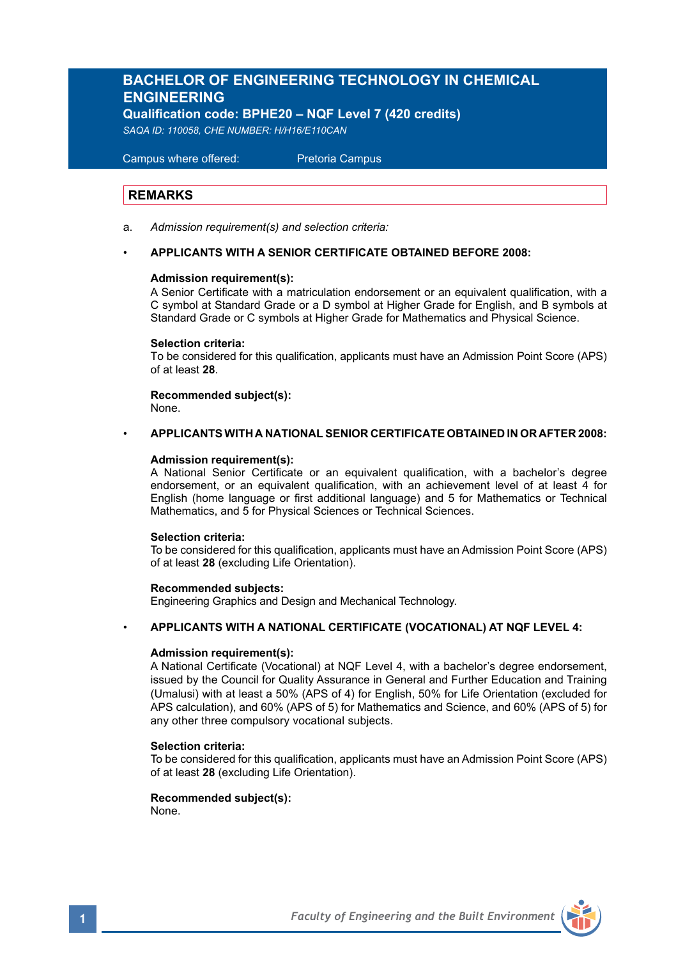# **BACHELOR OF ENGINEERING TECHNOLOGY IN CHEMICAL ENGINEERING**

**Qualification code: BPHE20 – NQF Level 7 (420 credits)**

*SAQA ID: 110058, CHE NUMBER: H/H16/E110CAN* 

 Campus where offered: Pretoria Campus

### **REMARKS**

a. *Admission requirement(s) and selection criteria:*

### • **APPLICANTS WITH A SENIOR CERTIFICATE OBTAINED BEFORE 2008:**

### **Admission requirement(s):**

A Senior Certificate with a matriculation endorsement or an equivalent qualification, with a C symbol at Standard Grade or a D symbol at Higher Grade for English, and B symbols at Standard Grade or C symbols at Higher Grade for Mathematics and Physical Science.

### **Selection criteria:**

To be considered for this qualification, applicants must have an Admission Point Score (APS) of at least **28**.

**Recommended subject(s):** None.

# • **APPLICANTS WITH A NATIONAL SENIOR CERTIFICATE OBTAINED IN OR AFTER 2008:**

### **Admission requirement(s):**

A National Senior Certificate or an equivalent qualification, with a bachelor's degree endorsement, or an equivalent qualification, with an achievement level of at least 4 for English (home language or first additional language) and 5 for Mathematics or Technical Mathematics, and 5 for Physical Sciences or Technical Sciences.

### **Selection criteria:**

To be considered for this qualification, applicants must have an Admission Point Score (APS) of at least **28** (excluding Life Orientation).

### **Recommended subjects:**

Engineering Graphics and Design and Mechanical Technology.

### • **APPLICANTS WITH A NATIONAL CERTIFICATE (VOCATIONAL) AT NQF LEVEL 4:**

### **Admission requirement(s):**

A National Certificate (Vocational) at NQF Level 4, with a bachelor's degree endorsement, issued by the Council for Quality Assurance in General and Further Education and Training (Umalusi) with at least a 50% (APS of 4) for English, 50% for Life Orientation (excluded for APS calculation), and 60% (APS of 5) for Mathematics and Science, and 60% (APS of 5) for any other three compulsory vocational subjects.

### **Selection criteria:**

To be considered for this qualification, applicants must have an Admission Point Score (APS) of at least **28** (excluding Life Orientation).

### **Recommended subject(s):**

None.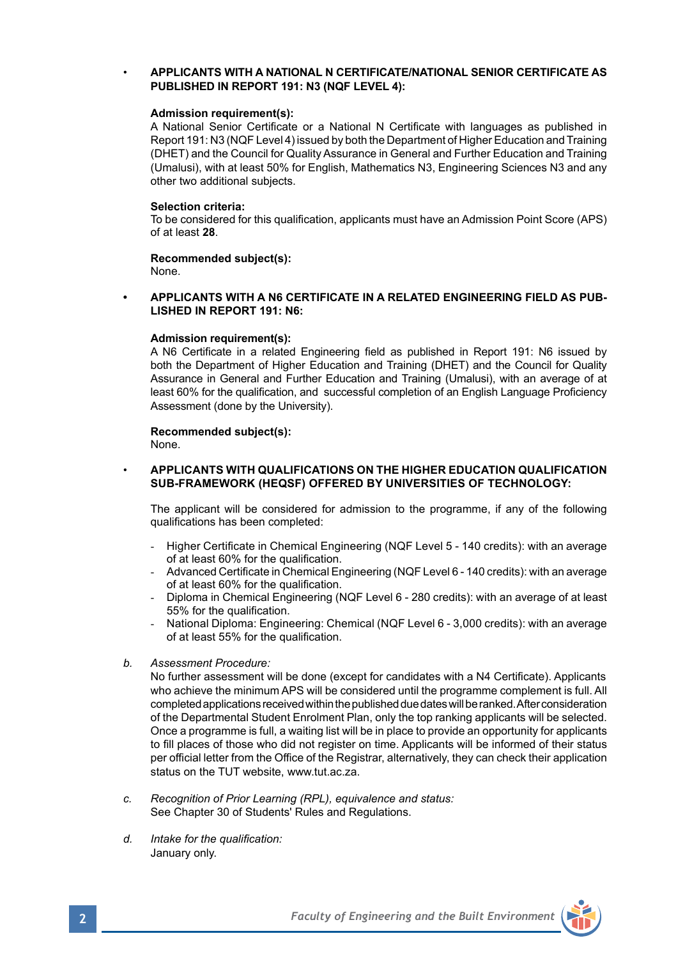### • **APPLICANTS WITH A NATIONAL N CERTIFICATE/NATIONAL SENIOR CERTIFICATE AS PUBLISHED IN REPORT 191: N3 (NQF LEVEL 4):**

### **Admission requirement(s):**

A National Senior Certificate or a National N Certificate with languages as published in Report 191: N3 (NQF Level 4) issued by both the Department of Higher Education and Training (DHET) and the Council for Quality Assurance in General and Further Education and Training (Umalusi), with at least 50% for English, Mathematics N3, Engineering Sciences N3 and any other two additional subjects.

### **Selection criteria:**

To be considered for this qualification, applicants must have an Admission Point Score (APS) of at least **28**.

### **Recommended subject(s):** None.

**• APPLICANTS WITH A N6 CERTIFICATE IN A RELATED ENGINEERING FIELD AS PUB-LISHED IN REPORT 191: N6:**

### **Admission requirement(s):**

A N6 Certificate in a related Engineering field as published in Report 191: N6 issued by both the Department of Higher Education and Training (DHET) and the Council for Quality Assurance in General and Further Education and Training (Umalusi), with an average of at least 60% for the qualification, and successful completion of an English Language Proficiency Assessment (done by the University).

# **Recommended subject(s):**

None.

### • **APPLICANTS WITH QUALIFICATIONS ON THE HIGHER EDUCATION QUALIFICATION SUB-FRAMEWORK (HEQSF) OFFERED BY UNIVERSITIES OF TECHNOLOGY:**

The applicant will be considered for admission to the programme, if any of the following qualifications has been completed:

- Higher Certificate in Chemical Engineering (NQF Level 5 140 credits): with an average of at least 60% for the qualification.
- Advanced Certificate in Chemical Engineering (NQF Level 6 140 credits): with an average of at least 60% for the qualification.
- Diploma in Chemical Engineering (NQF Level 6 280 credits): with an average of at least 55% for the qualification.
- National Diploma: Engineering: Chemical (NQF Level 6 3,000 credits): with an average of at least 55% for the qualification.
- *b. Assessment Procedure:*

No further assessment will be done (except for candidates with a N4 Certificate). Applicants who achieve the minimum APS will be considered until the programme complement is full. All completed applications received within the published due dates will be ranked. After consideration of the Departmental Student Enrolment Plan, only the top ranking applicants will be selected. Once a programme is full, a waiting list will be in place to provide an opportunity for applicants to fill places of those who did not register on time. Applicants will be informed of their status per official letter from the Office of the Registrar, alternatively, they can check their application status on the TUT website, www.tut.ac.za.

- *c. Recognition of Prior Learning (RPL), equivalence and status:* See Chapter 30 of Students' Rules and Regulations.
- *d. Intake for the qualification:* January only.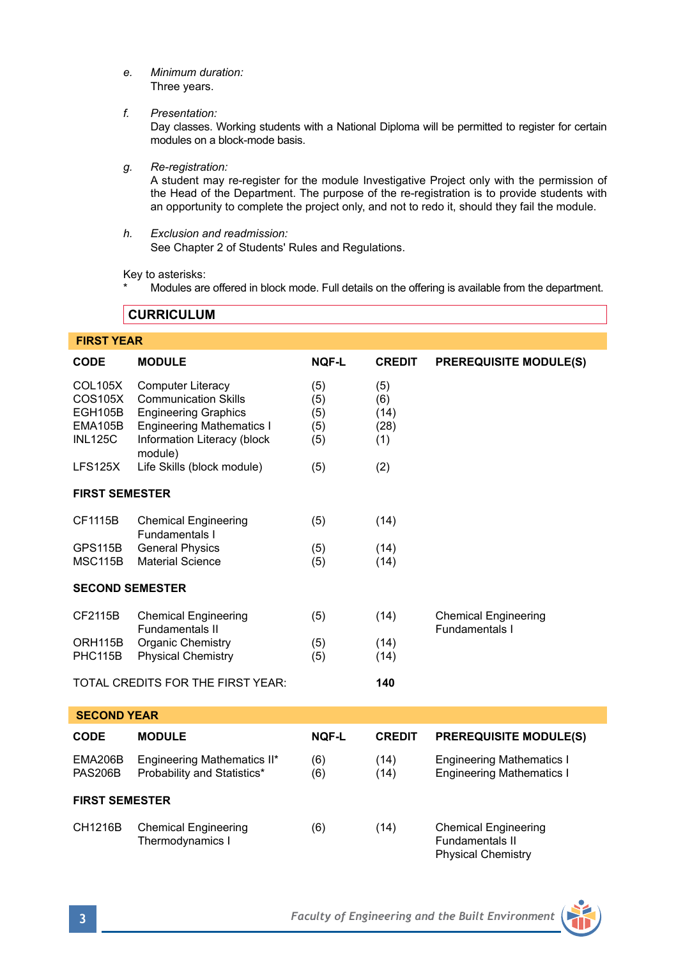*e. Minimum duration:* Three years.

*f. Presentation:*

Day classes. Working students with a National Diploma will be permitted to register for certain modules on a block-mode basis.

*g. Re-registration:*

A student may re-register for the module Investigative Project only with the permission of the Head of the Department. The purpose of the re-registration is to provide students with an opportunity to complete the project only, and not to redo it, should they fail the module.

*h. Exclusion and readmission:* See Chapter 2 of Students' Rules and Regulations.

Key to asterisks:

Modules are offered in block mode. Full details on the offering is available from the department.

**CURRICULUM** 

| <b>FIRST YEAR</b>                                                 |                                                                                                                                                                      |                                 |                                   |                                                                             |  |  |  |
|-------------------------------------------------------------------|----------------------------------------------------------------------------------------------------------------------------------------------------------------------|---------------------------------|-----------------------------------|-----------------------------------------------------------------------------|--|--|--|
| <b>CODE</b>                                                       | <b>MODULE</b>                                                                                                                                                        | <b>NOF-L</b>                    | <b>CREDIT</b>                     | <b>PREREQUISITE MODULE(S)</b>                                               |  |  |  |
| <b>COL105X</b><br>COS105X<br>EGH105B<br>EMA105B<br><b>INL125C</b> | <b>Computer Literacy</b><br><b>Communication Skills</b><br><b>Engineering Graphics</b><br><b>Engineering Mathematics I</b><br>Information Literacy (block<br>module) | (5)<br>(5)<br>(5)<br>(5)<br>(5) | (5)<br>(6)<br>(14)<br>(28)<br>(1) |                                                                             |  |  |  |
| LFS125X                                                           | Life Skills (block module)                                                                                                                                           | (5)                             | (2)                               |                                                                             |  |  |  |
| <b>FIRST SEMESTER</b>                                             |                                                                                                                                                                      |                                 |                                   |                                                                             |  |  |  |
| CF1115B                                                           | <b>Chemical Engineering</b><br>Fundamentals I                                                                                                                        | (5)                             | (14)                              |                                                                             |  |  |  |
| <b>GPS115B</b><br><b>MSC115B</b>                                  | <b>General Physics</b><br><b>Material Science</b>                                                                                                                    | (5)<br>(5)                      | (14)<br>(14)                      |                                                                             |  |  |  |
| <b>SECOND SEMESTER</b>                                            |                                                                                                                                                                      |                                 |                                   |                                                                             |  |  |  |
| CF2115B                                                           | <b>Chemical Engineering</b><br>Fundamentals II                                                                                                                       | (5)                             | (14)                              | <b>Chemical Engineering</b><br>Fundamentals I                               |  |  |  |
| ORH <sub>115</sub> B<br>PHC115B                                   | Organic Chemistry<br><b>Physical Chemistry</b>                                                                                                                       | (5)<br>(5)                      | (14)<br>(14)                      |                                                                             |  |  |  |
|                                                                   | TOTAL CREDITS FOR THE FIRST YEAR:                                                                                                                                    |                                 | 140                               |                                                                             |  |  |  |
| <b>SECOND YEAR</b>                                                |                                                                                                                                                                      |                                 |                                   |                                                                             |  |  |  |
| <b>CODE</b>                                                       | <b>MODULE</b>                                                                                                                                                        | <b>NOF-L</b>                    | <b>CREDIT</b>                     | <b>PREREQUISITE MODULE(S)</b>                                               |  |  |  |
| <b>EMA206B</b><br><b>PAS206B</b>                                  | Engineering Mathematics II*<br>Probability and Statistics*                                                                                                           | (6)<br>(6)                      | (14)<br>(14)                      | <b>Engineering Mathematics I</b><br><b>Engineering Mathematics I</b>        |  |  |  |
| <b>FIRST SEMESTER</b>                                             |                                                                                                                                                                      |                                 |                                   |                                                                             |  |  |  |
| CH1216B                                                           | <b>Chemical Engineering</b><br>Thermodynamics I                                                                                                                      | (6)                             | (14)                              | <b>Chemical Engineering</b><br>Fundamentals II<br><b>Physical Chemistry</b> |  |  |  |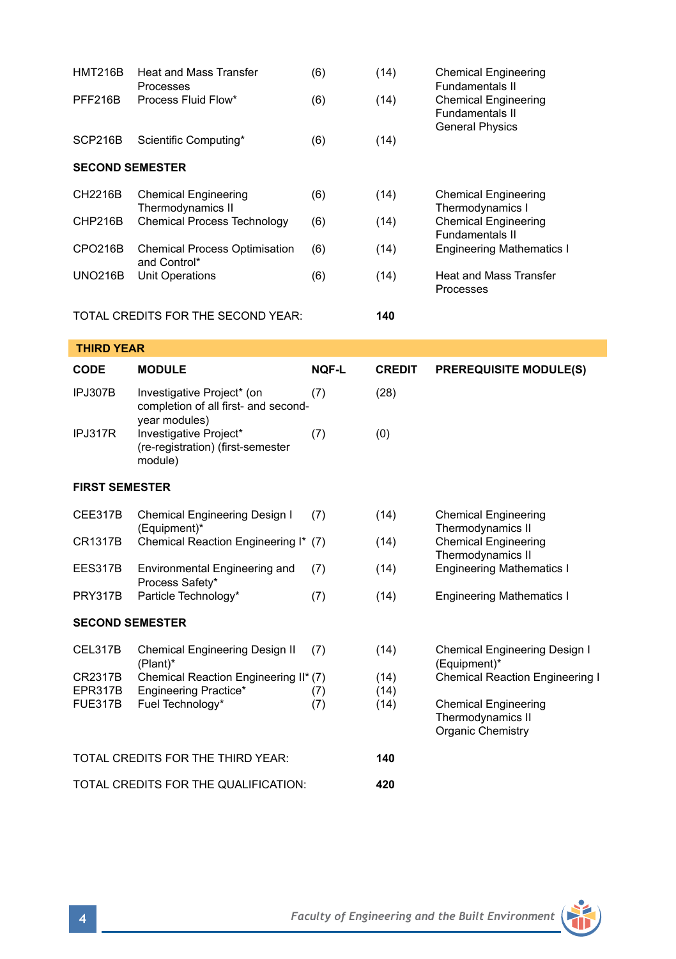| <b>HMT216B</b>                | <b>Heat and Mass Transfer</b><br>Processes                                             | (6)        | (14)                 | <b>Chemical Engineering</b><br>Fundamentals II<br><b>Chemical Engineering</b><br>Fundamentals II<br><b>General Physics</b> |  |  |  |
|-------------------------------|----------------------------------------------------------------------------------------|------------|----------------------|----------------------------------------------------------------------------------------------------------------------------|--|--|--|
| <b>PFF216B</b>                | Process Fluid Flow*                                                                    | (6)        | (14)                 |                                                                                                                            |  |  |  |
| SCP216B                       | Scientific Computing*                                                                  | (6)        | (14)                 |                                                                                                                            |  |  |  |
| <b>SECOND SEMESTER</b>        |                                                                                        |            |                      |                                                                                                                            |  |  |  |
| CH2216B                       | <b>Chemical Engineering</b><br>Thermodynamics II<br><b>Chemical Process Technology</b> | (6)        | (14)                 | <b>Chemical Engineering</b><br>Thermodynamics I<br><b>Chemical Engineering</b>                                             |  |  |  |
| CHP216B                       |                                                                                        | (6)        | (14)                 |                                                                                                                            |  |  |  |
| CPO216B                       | <b>Chemical Process Optimisation</b>                                                   | (6)        | (14)                 | <b>Fundamentals II</b><br><b>Engineering Mathematics I</b>                                                                 |  |  |  |
| <b>UNO216B</b>                | and Control*<br>Unit Operations                                                        | (6)        | (14)                 | <b>Heat and Mass Transfer</b><br>Processes                                                                                 |  |  |  |
|                               | TOTAL CREDITS FOR THE SECOND YEAR:                                                     |            | 140                  |                                                                                                                            |  |  |  |
| <b>THIRD YEAR</b>             |                                                                                        |            |                      |                                                                                                                            |  |  |  |
| CODE                          | <b>MODULE</b>                                                                          | NQF-L      | <b>CREDIT</b>        | <b>PREREQUISITE MODULE(S)</b>                                                                                              |  |  |  |
| IPJ307B                       | Investigative Project* (on<br>completion of all first- and second-<br>year modules)    | (7)        | (28)                 |                                                                                                                            |  |  |  |
| IPJ317R                       | Investigative Project*<br>(re-registration) (first-semester<br>module)                 | (7)        | (0)                  |                                                                                                                            |  |  |  |
| <b>FIRST SEMESTER</b>         |                                                                                        |            |                      |                                                                                                                            |  |  |  |
| CEE317B                       | Chemical Engineering Design I<br>(Equipment)*                                          | (7)        | (14)                 | <b>Chemical Engineering</b><br>Thermodynamics II<br><b>Chemical Engineering</b><br>Thermodynamics II                       |  |  |  |
| <b>CR1317B</b>                | Chemical Reaction Engineering I* (7)                                                   |            | (14)                 |                                                                                                                            |  |  |  |
| EES317B                       | Environmental Engineering and<br>Process Safety*                                       | (7)        | (14)                 | <b>Engineering Mathematics I</b>                                                                                           |  |  |  |
| <b>PRY317B</b>                | Particle Technology*                                                                   | (7)        | (14)                 | <b>Engineering Mathematics I</b>                                                                                           |  |  |  |
| <b>SECOND SEMESTER</b>        |                                                                                        |            |                      |                                                                                                                            |  |  |  |
| CEL317B                       | Chemical Engineering Design II<br>(Plant)*                                             | (7)        | (14)                 | Chemical Engineering Design I<br>(Equipment)*                                                                              |  |  |  |
| CR2317B<br>EPR317B<br>FUE317B | Chemical Reaction Engineering II* (7)<br>Engineering Practice*<br>Fuel Technology*     | (7)<br>(7) | (14)<br>(14)<br>(14) | <b>Chemical Reaction Engineering I</b><br><b>Chemical Engineering</b><br>Thermodynamics II<br>Organic Chemistry            |  |  |  |
|                               | TOTAL CREDITS FOR THE THIRD YEAR:                                                      |            | 140                  |                                                                                                                            |  |  |  |
|                               | TOTAL CREDITS FOR THE QUALIFICATION:                                                   | 420        |                      |                                                                                                                            |  |  |  |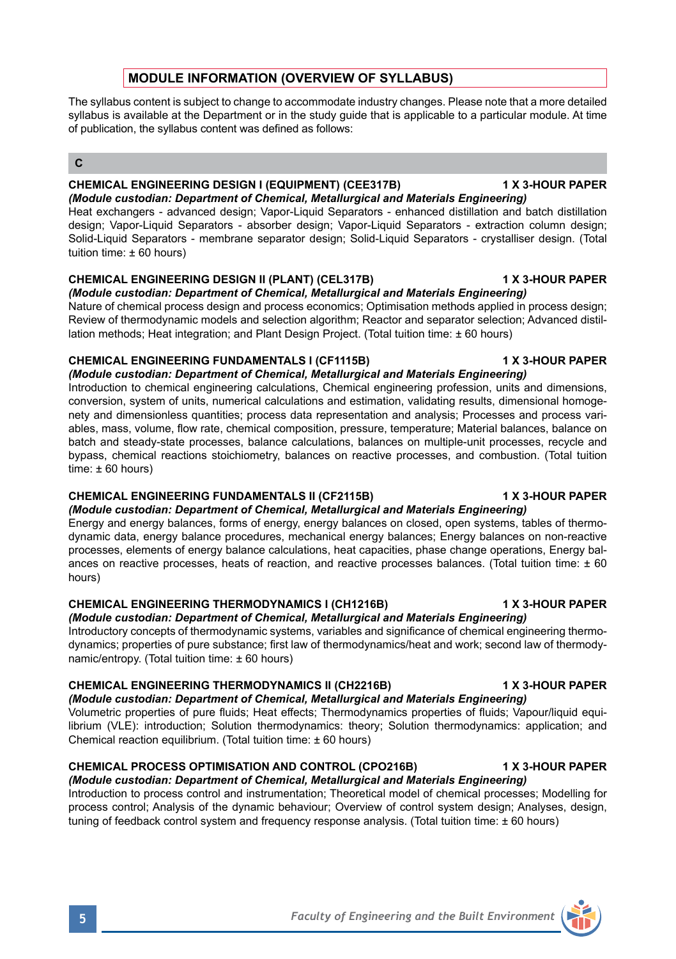# **MODULE INFORMATION (OVERVIEW OF SYLLABUS)**

The syllabus content is subject to change to accommodate industry changes. Please note that a more detailed syllabus is available at the Department or in the study quide that is applicable to a particular module. At time of publication, the syllabus content was defined as follows:

## **C**

# **CHEMICAL ENGINEERING DESIGN I (EQUIPMENT) (CEE317B) 1 X 3-HOUR PAPER**

*(Module custodian: Department of Chemical, Metallurgical and Materials Engineering)* Heat exchangers - advanced design; Vapor-Liquid Separators - enhanced distillation and batch distillation design; Vapor-Liquid Separators - absorber design; Vapor-Liquid Separators - extraction column design; Solid-Liquid Separators - membrane separator design; Solid-Liquid Separators - crystalliser design. (Total tuition time: ± 60 hours)

# **CHEMICAL ENGINEERING DESIGN II (PLANT) (CEL317B) 1 X 3-HOUR PAPER**

*(Module custodian: Department of Chemical, Metallurgical and Materials Engineering)* Nature of chemical process design and process economics; Optimisation methods applied in process design; Review of thermodynamic models and selection algorithm; Reactor and separator selection; Advanced distillation methods; Heat integration; and Plant Design Project. (Total tuition time: ± 60 hours)

# **CHEMICAL ENGINEERING FUNDAMENTALS I (CF1115B) 1 X 3-HOUR PAPER**

*(Module custodian: Department of Chemical, Metallurgical and Materials Engineering)* Introduction to chemical engineering calculations, Chemical engineering profession, units and dimensions, conversion, system of units, numerical calculations and estimation, validating results, dimensional homogenety and dimensionless quantities; process data representation and analysis; Processes and process variables, mass, volume, flow rate, chemical composition, pressure, temperature; Material balances, balance on batch and steady-state processes, balance calculations, balances on multiple-unit processes, recycle and bypass, chemical reactions stoichiometry, balances on reactive processes, and combustion. (Total tuition time:  $\pm 60$  hours)

# **CHEMICAL ENGINEERING FUNDAMENTALS II (CF2115B) 1 X 3-HOUR PAPER**

*(Module custodian: Department of Chemical, Metallurgical and Materials Engineering)* Energy and energy balances, forms of energy, energy balances on closed, open systems, tables of thermodynamic data, energy balance procedures, mechanical energy balances; Energy balances on non-reactive processes, elements of energy balance calculations, heat capacities, phase change operations, Energy balances on reactive processes, heats of reaction, and reactive processes balances. (Total tuition time: ± 60 hours)

# **CHEMICAL ENGINEERING THERMODYNAMICS I (CH1216B) 1 X 3-HOUR PAPER**

*(Module custodian: Department of Chemical, Metallurgical and Materials Engineering)* Introductory concepts of thermodynamic systems, variables and significance of chemical engineering thermodynamics; properties of pure substance; first law of thermodynamics/heat and work; second law of thermodynamic/entropy. (Total tuition time: ± 60 hours)

# **CHEMICAL ENGINEERING THERMODYNAMICS II (CH2216B) 1 X 3-HOUR PAPER**

*(Module custodian: Department of Chemical, Metallurgical and Materials Engineering)* Volumetric properties of pure fluids; Heat effects; Thermodynamics properties of fluids; Vapour/liquid equi-

librium (VLE): introduction; Solution thermodynamics: theory; Solution thermodynamics: application; and Chemical reaction equilibrium. (Total tuition time: ± 60 hours)

# **CHEMICAL PROCESS OPTIMISATION AND CONTROL (CPO216B) 1 X 3-HOUR PAPER**

*(Module custodian: Department of Chemical, Metallurgical and Materials Engineering)* Introduction to process control and instrumentation; Theoretical model of chemical processes; Modelling for process control; Analysis of the dynamic behaviour; Overview of control system design; Analyses, design, tuning of feedback control system and frequency response analysis. (Total tuition time: ± 60 hours)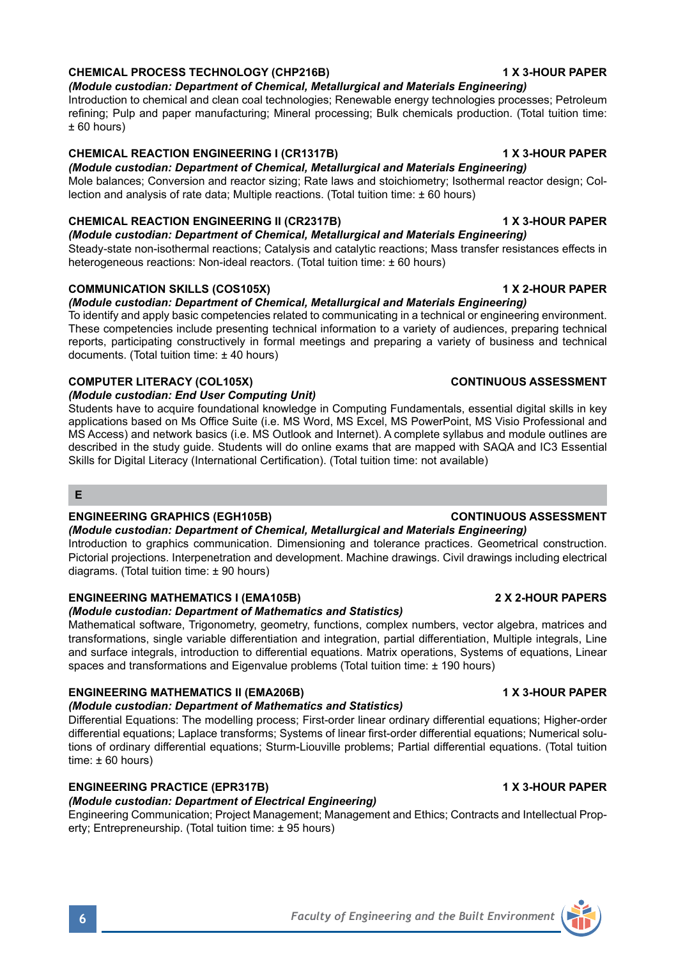## **CHEMICAL PROCESS TECHNOLOGY (CHP216B) 1 X 3-HOUR PAPER**

*(Module custodian: Department of Chemical, Metallurgical and Materials Engineering)* Introduction to chemical and clean coal technologies; Renewable energy technologies processes; Petroleum refining; Pulp and paper manufacturing; Mineral processing; Bulk chemicals production. (Total tuition time:

### ± 60 hours)

## **CHEMICAL REACTION ENGINEERING I (CR1317B) 1 X 3-HOUR PAPER**

*(Module custodian: Department of Chemical, Metallurgical and Materials Engineering)* Mole balances; Conversion and reactor sizing; Rate laws and stoichiometry; Isothermal reactor design; Collection and analysis of rate data; Multiple reactions. (Total tuition time: ± 60 hours)

## **CHEMICAL REACTION ENGINEERING II (CR2317B) 1 X 3-HOUR PAPER**

*(Module custodian: Department of Chemical, Metallurgical and Materials Engineering)* Steady-state non-isothermal reactions; Catalysis and catalytic reactions; Mass transfer resistances effects in heterogeneous reactions: Non-ideal reactors. (Total tuition time: +60 hours)

## **COMMUNICATION SKILLS (COS105X)** 1 X 2-HOUR PAPER

## *(Module custodian: Department of Chemical, Metallurgical and Materials Engineering)*

To identify and apply basic competencies related to communicating in a technical or engineering environment. These competencies include presenting technical information to a variety of audiences, preparing technical reports, participating constructively in formal meetings and preparing a variety of business and technical documents. (Total tuition time: ± 40 hours)

## **COMPUTER LITERACY (COL105X) CONTINUOUS ASSESSMENT**

## *(Module custodian: End User Computing Unit)*

Students have to acquire foundational knowledge in Computing Fundamentals, essential digital skills in key applications based on Ms Office Suite (i.e. MS Word, MS Excel, MS PowerPoint, MS Visio Professional and MS Access) and network basics (i.e. MS Outlook and Internet). A complete syllabus and module outlines are described in the study guide. Students will do online exams that are mapped with SAQA and IC3 Essential Skills for Digital Literacy (International Certification). (Total tuition time: not available)

### **E**

### **ENGINEERING GRAPHICS (EGH105B) CONTINUOUS ASSESSMENT**

*(Module custodian: Department of Chemical, Metallurgical and Materials Engineering)* Introduction to graphics communication. Dimensioning and tolerance practices. Geometrical construction. Pictorial projections. Interpenetration and development. Machine drawings. Civil drawings including electrical diagrams. (Total tuition time: ± 90 hours)

### **ENGINEERING MATHEMATICS I (EMA105B) 2 X 2-HOUR PAPERS**

## *(Module custodian: Department of Mathematics and Statistics)*

Mathematical software, Trigonometry, geometry, functions, complex numbers, vector algebra, matrices and transformations, single variable differentiation and integration, partial differentiation, Multiple integrals, Line and surface integrals, introduction to differential equations. Matrix operations, Systems of equations, Linear spaces and transformations and Eigenvalue problems (Total tuition time: ± 190 hours)

### **ENGINEERING MATHEMATICS II (EMA206B) 1 X 3-HOUR PAPER**

### *(Module custodian: Department of Mathematics and Statistics)*

Differential Equations: The modelling process; First-order linear ordinary differential equations; Higher-order differential equations; Laplace transforms; Systems of linear first-order differential equations; Numerical solutions of ordinary differential equations; Sturm-Liouville problems; Partial differential equations. (Total tuition time: ± 60 hours)

### **ENGINEERING PRACTICE (EPR317B) 1 X 3-HOUR PAPER**

# *(Module custodian: Department of Electrical Engineering)*

Engineering Communication; Project Management; Management and Ethics; Contracts and Intellectual Property; Entrepreneurship. (Total tuition time: ± 95 hours)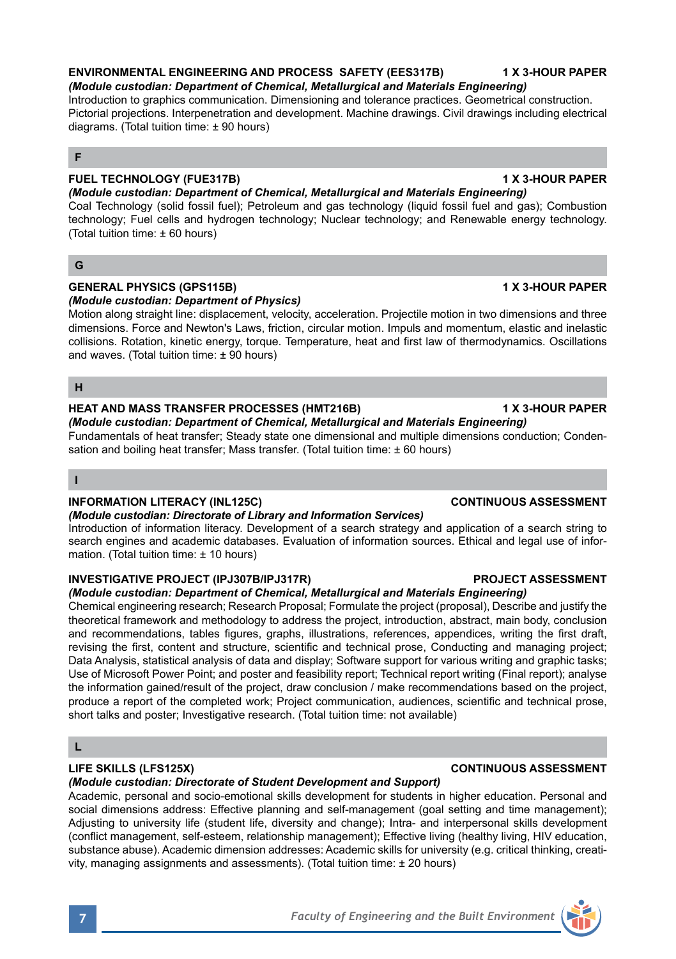# **ENVIRONMENTAL ENGINEERING AND PROCESS SAFETY (EES317B) 1 X 3-HOUR PAPER**

*(Module custodian: Department of Chemical, Metallurgical and Materials Engineering)* Introduction to graphics communication. Dimensioning and tolerance practices. Geometrical construction. Pictorial projections. Interpenetration and development. Machine drawings. Civil drawings including electrical diagrams. (Total tuition time: ± 90 hours)

### **F**

# **FUEL TECHNOLOGY (FUE317B) 1 X 3-HOUR PAPER**

*(Module custodian: Department of Chemical, Metallurgical and Materials Engineering)* Coal Technology (solid fossil fuel); Petroleum and gas technology (liquid fossil fuel and gas); Combustion technology; Fuel cells and hydrogen technology; Nuclear technology; and Renewable energy technology. (Total tuition time: ± 60 hours)

### **G**

## **GENERAL PHYSICS (GPS115B) 1 X 3-HOUR PAPER**

*(Module custodian: Department of Physics)* Motion along straight line: displacement, velocity, acceleration. Projectile motion in two dimensions and three dimensions. Force and Newton's Laws, friction, circular motion. Impuls and momentum, elastic and inelastic collisions. Rotation, kinetic energy, torque. Temperature, heat and first law of thermodynamics. Oscillations and waves. (Total tuition time: ± 90 hours)

### **H**

## **HEAT AND MASS TRANSFER PROCESSES (HMT216B) 1 X 3-HOUR PAPER**

*(Module custodian: Department of Chemical, Metallurgical and Materials Engineering)* Fundamentals of heat transfer; Steady state one dimensional and multiple dimensions conduction; Condensation and boiling heat transfer: Mass transfer. (Total tuition time: ± 60 hours)

### **I**

### **INFORMATION LITERACY (INL125C) CONTINUOUS ASSESSMENT**

*(Module custodian: Directorate of Library and Information Services)*

Introduction of information literacy. Development of a search strategy and application of a search string to search engines and academic databases. Evaluation of information sources. Ethical and legal use of information. (Total tuition time: ± 10 hours)

### **INVESTIGATIVE PROJECT (IPJ307B/IPJ317R) PROJECT ASSESSMENT**

*(Module custodian: Department of Chemical, Metallurgical and Materials Engineering)*  Chemical engineering research; Research Proposal; Formulate the project (proposal), Describe and justify the theoretical framework and methodology to address the project, introduction, abstract, main body, conclusion and recommendations, tables figures, graphs, illustrations, references, appendices, writing the first draft, revising the first, content and structure, scientific and technical prose, Conducting and managing project; Data Analysis, statistical analysis of data and display; Software support for various writing and graphic tasks; Use of Microsoft Power Point; and poster and feasibility report; Technical report writing (Final report); analyse the information gained/result of the project, draw conclusion / make recommendations based on the project, produce a report of the completed work; Project communication, audiences, scientific and technical prose, short talks and poster; Investigative research. (Total tuition time: not available)

# **L**

# **LIFE SKILLS (LFS125X) CONTINUOUS ASSESSMENT**

# *(Module custodian: Directorate of Student Development and Support)*

Academic, personal and socio-emotional skills development for students in higher education. Personal and social dimensions address: Effective planning and self-management (goal setting and time management); Adjusting to university life (student life, diversity and change); Intra- and interpersonal skills development (conflict management, self-esteem, relationship management); Effective living (healthy living, HIV education, substance abuse). Academic dimension addresses: Academic skills for university (e.g. critical thinking, creativity, managing assignments and assessments). (Total tuition time: ± 20 hours)

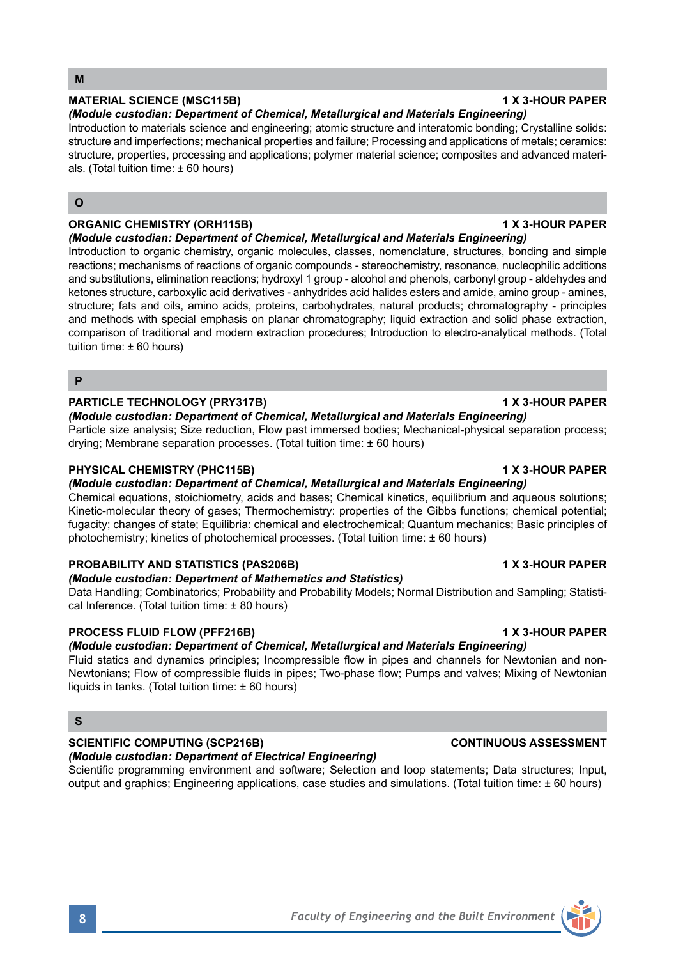# **MATERIAL SCIENCE (MSC115B) 1 X 3-HOUR PAPER**

*(Module custodian: Department of Chemical, Metallurgical and Materials Engineering)* Introduction to materials science and engineering; atomic structure and interatomic bonding; Crystalline solids: structure and imperfections; mechanical properties and failure; Processing and applications of metals; ceramics: structure, properties, processing and applications; polymer material science; composites and advanced materials. (Total tuition time:  $\pm 60$  hours)

## **O**

## **ORGANIC CHEMISTRY (ORH115B) 1 X 3-HOUR PAPER**

*(Module custodian: Department of Chemical, Metallurgical and Materials Engineering)*

Introduction to organic chemistry, organic molecules, classes, nomenclature, structures, bonding and simple reactions; mechanisms of reactions of organic compounds - stereochemistry, resonance, nucleophilic additions and substitutions, elimination reactions; hydroxyl 1 group - alcohol and phenols, carbonyl group - aldehydes and ketones structure, carboxylic acid derivatives - anhydrides acid halides esters and amide, amino group - amines, structure; fats and oils, amino acids, proteins, carbohydrates, natural products; chromatography - principles and methods with special emphasis on planar chromatography; liquid extraction and solid phase extraction, comparison of traditional and modern extraction procedures; Introduction to electro-analytical methods. (Total tuition time: ± 60 hours)

### **P**

## **PARTICLE TECHNOLOGY (PRY317B) 1 X 3-HOUR PAPER**

*(Module custodian: Department of Chemical, Metallurgical and Materials Engineering)* Particle size analysis; Size reduction, Flow past immersed bodies; Mechanical-physical separation process; drying; Membrane separation processes. (Total tuition time: ± 60 hours)

### **PHYSICAL CHEMISTRY (PHC115B) 1 X 3-HOUR PAPER**

*(Module custodian: Department of Chemical, Metallurgical and Materials Engineering)*

Chemical equations, stoichiometry, acids and bases; Chemical kinetics, equilibrium and aqueous solutions; Kinetic-molecular theory of gases; Thermochemistry: properties of the Gibbs functions; chemical potential; fugacity; changes of state; Equilibria: chemical and electrochemical; Quantum mechanics; Basic principles of photochemistry; kinetics of photochemical processes. (Total tuition time: ± 60 hours)

### **PROBABILITY AND STATISTICS (PAS206B) 1 X 3-HOUR PAPER**

# *(Module custodian: Department of Mathematics and Statistics)*

Data Handling; Combinatorics; Probability and Probability Models; Normal Distribution and Sampling; Statistical Inference. (Total tuition time: ± 80 hours)

# **PROCESS FLUID FLOW (PFF216B) 1 X 3-HOUR PAPER**

# *(Module custodian: Department of Chemical, Metallurgical and Materials Engineering)*

Fluid statics and dynamics principles; Incompressible flow in pipes and channels for Newtonian and non-Newtonians; Flow of compressible fluids in pipes; Two-phase flow; Pumps and valves; Mixing of Newtonian liquids in tanks. (Total tuition time:  $\pm 60$  hours)

## **S**

# **SCIENTIFIC COMPUTING (SCP216B) CONTINUOUS ASSESSMENT**

# *(Module custodian: Department of Electrical Engineering)*

Scientific programming environment and software; Selection and loop statements; Data structures; Input, output and graphics; Engineering applications, case studies and simulations. (Total tuition time: ± 60 hours)